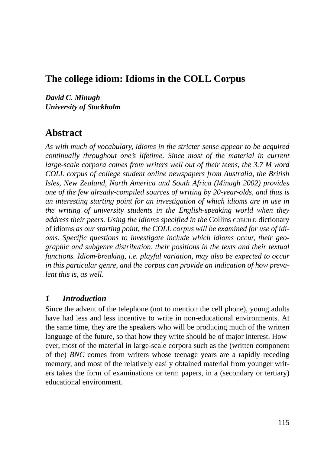## **The college idiom: Idioms in the COLL Corpus**

*David C. Minugh University of Stockholm*

# **Abstract**

*As with much of vocabulary, idioms in the stricter sense appear to be acquired continually throughout one's lifetime. Since most of the material in current large-scale corpora comes from writers well out of their teens, the 3.7 M word COLL corpus of college student online newspapers from Australia, the British Isles, New Zealand, North America and South Africa (Minugh 2002) provides one of the few already-compiled sources of writing by 20-year-olds, and thus is an interesting starting point for an investigation of which idioms are in use in the writing of university students in the English-speaking world when they address their peers. Using the idioms specified in the* Collins COBUILD dictionary of idioms *as our starting point, the COLL corpus will be examined for use of idioms. Specific questions to investigate include which idioms occur, their geographic and subgenre distribution, their positions in the texts and their textual functions. Idiom-breaking, i.e. playful variation, may also be expected to occur in this particular genre, and the corpus can provide an indication of how prevalent this is, as well.*

#### *1 Introduction*

Since the advent of the telephone (not to mention the cell phone), young adults have had less and less incentive to write in non-educational environments. At the same time, they are the speakers who will be producing much of the written language of the future, so that how they write should be of major interest. However, most of the material in large-scale corpora such as the (written component of the) *BNC* comes from writers whose teenage years are a rapidly receding memory, and most of the relatively easily obtained material from younger writers takes the form of examinations or term papers, in a (secondary or tertiary) educational environment.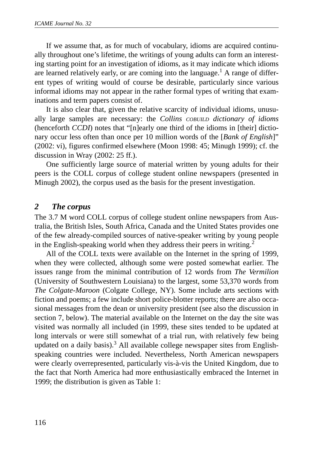If we assume that, as for much of vocabulary, idioms are acquired continually throughout one's lifetime, the writings of young adults can form an interesting starting point for an investigation of idioms, as it may indicate which idioms are learned relatively early, or are coming into the language.<sup>1</sup> A range of different types of writing would of course be desirable, particularly since various informal idioms may not appear in the rather formal types of writing that examinations and term papers consist of.

It is also clear that, given the relative scarcity of individual idioms, unusually large samples are necessary: the *Collins COBUILD dictionary of idioms* (henceforth *CCDI*) notes that "[n]early one third of the idioms in [their] dictionary occur less often than once per 10 million words of the [*Bank of English*]" (2002: vi), figures confirmed elsewhere (Moon 1998: 45; Minugh 1999); cf. the discussion in Wray (2002: 25 ff.).

One sufficiently large source of material written by young adults for their peers is the COLL corpus of college student online newspapers (presented in Minugh 2002), the corpus used as the basis for the present investigation.

#### *2 The corpus*

The 3.7 M word COLL corpus of college student online newspapers from Australia, the British Isles, South Africa, Canada and the United States provides one of the few already-compiled sources of native-speaker writing by young people in the English-speaking world when they address their peers in writing.<sup>2</sup>

All of the COLL texts were available on the Internet in the spring of 1999, when they were collected, although some were posted somewhat earlier. The issues range from the minimal contribution of 12 words from *The Vermilion* (University of Southwestern Louisiana) to the largest, some 53,370 words from *The Colgate-Maroon* (Colgate College, NY). Some include arts sections with fiction and poems; a few include short police-blotter reports; there are also occasional messages from the dean or university president (see also the discussion in section 7, below). The material available on the Internet on the day the site was visited was normally all included (in 1999, these sites tended to be updated at long intervals or were still somewhat of a trial run, with relatively few being updated on a daily basis).<sup>3</sup> All available college newspaper sites from Englishspeaking countries were included. Nevertheless, North American newspapers were clearly overrepresented, particularly vis-à-vis the United Kingdom, due to the fact that North America had more enthusiastically embraced the Internet in 1999; the distribution is given as Table 1: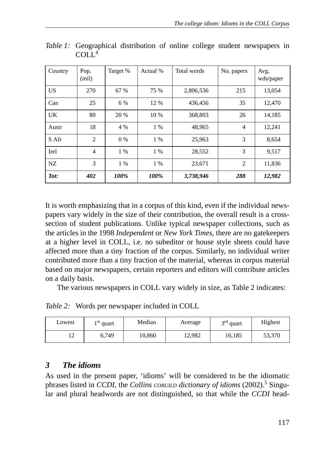| Country | Pop.<br>(mil)  | Target % | Actual % | Total words | No. papers     | Avg.<br>wds/paper |
|---------|----------------|----------|----------|-------------|----------------|-------------------|
| US      | 270            | 67 %     | 75 %     | 2,806,536   | 215            | 13.054            |
| Can     | 25             | 6 %      | 12 %     | 436,456     | 35             | 12,470            |
| UK      | 80             | 20 %     | 10 %     | 368,803     | 26             | 14,185            |
| Austr   | 18             | 4 %      | $1\%$    | 48.965      | $\overline{4}$ | 12,241            |
| S Afr   | $\overline{2}$ | 0 %      | $1\%$    | 25,963      | 3              | 8,654             |
| Irel    | $\overline{4}$ | $1\%$    | $1\%$    | 28,552      | 3              | 9,517             |
| NZ      | 3              | $1\%$    | $1\%$    | 23,671      | $\overline{2}$ | 11,836            |
| Tot:    | 402            | 100%     | 100%     | 3,738,946   | 288            | 12,982            |

*Table 1:* Geographical distribution of online college student newspapers in COLL<sup>4</sup>

It is worth emphasizing that in a corpus of this kind, even if the individual newspapers vary widely in the size of their contribution, the overall result is a crosssection of student publications. Unlike typical newspaper collections, such as the articles in the 1998 *Independent* or *New York Times,* there are no gatekeepers at a higher level in COLL, i.e. no subeditor or house style sheets could have affected more than a tiny fraction of the corpus. Similarly, no individual writer contributed more than a tiny fraction of the material, whereas in corpus material based on major newspapers, certain reporters and editors will contribute articles on a daily basis.

The various newspapers in COLL vary widely in size, as Table 2 indicates:

*Table 2:* Words per newspaper included in COLL

| Lowest        | ₹ st<br>quart | Median | Average | $3rd$ quart | Highest |
|---------------|---------------|--------|---------|-------------|---------|
| $\sim$<br>- 1 | 6.749         | 10.860 | 12.982  | 16.185      | 53.370  |

## *3 The idioms*

As used in the present paper, 'idioms' will be considered to be the idiomatic phrases listed in *CCDI*, the *Collins COBUILD dictionary of idioms* (2002).<sup>5</sup> Singular and plural headwords are not distinguished, so that while the *CCDI* head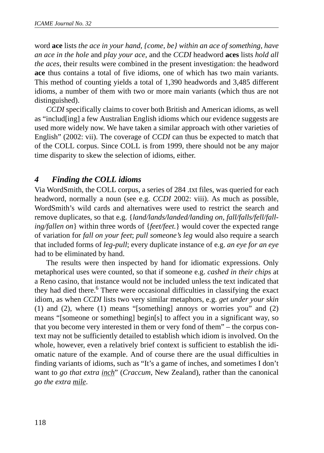word **ace** lists *the ace in your hand, {come, be} within an ace of something, have an ace in the hole* and *play your ace*, and the *CCDI* headword **aces** lists *hold all the aces*, their results were combined in the present investigation: the headword **ace** thus contains a total of five idioms, one of which has two main variants. This method of counting yields a total of 1,390 headwords and 3,485 different idioms, a number of them with two or more main variants (which thus are not distinguished).

*CCDI* specifically claims to cover both British and American idioms, as well as "includ[ing] a few Australian English idioms which our evidence suggests are used more widely now. We have taken a similar approach with other varieties of English" (2002: vii). The coverage of *CCDI* can thus be expected to match that of the COLL corpus. Since COLL is from 1999, there should not be any major time disparity to skew the selection of idioms, either.

### *4 Finding the COLL idioms*

Via WordSmith, the COLL corpus, a series of 284 .txt files, was queried for each headword, normally a noun (see e.g. *CCDI* 2002: viii). As much as possible, WordSmith's wild cards and alternatives were used to restrict the search and remove duplicates, so that e.g. {*land/lands/landed/landing on, fall/falls/fell/falling/fallen on*} within three words of {*feet/feet.*} would cover the expected range of variation for *fall on your feet*; *pull someone's leg* would also require a search that included forms of *leg-pull*; every duplicate instance of e.g. *an eye for an eye* had to be eliminated by hand.

The results were then inspected by hand for idiomatic expressions. Only metaphorical uses were counted, so that if someone e.g. *cashed in their chips* at a Reno casino, that instance would not be included unless the text indicated that they had died there.<sup>6</sup> There were occasional difficulties in classifying the exact idiom, as when *CCDI* lists two very similar metaphors, e.g. *get under your skin* (1) and (2), where (1) means "[something] annoys or worries you" and (2) means "[someone or something] begin[s] to affect you in a significant way, so that you become very interested in them or very fond of them" – the corpus context may not be sufficiently detailed to establish which idiom is involved. On the whole, however, even a relatively brief context is sufficient to establish the idiomatic nature of the example. And of course there are the usual difficulties in finding variants of idioms, such as "It's a game of inches, and sometimes I don't want to *go that extra inch*" (*Craccum*, New Zealand), rather than the canonical *go the extra mile*.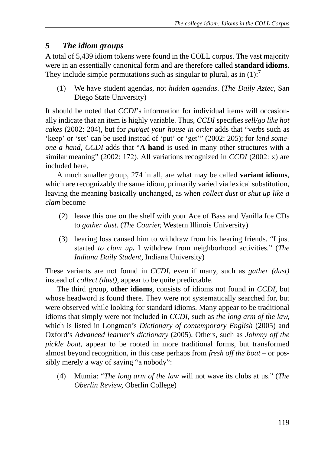## *5 The idiom groups*

A total of 5,439 idiom tokens were found in the COLL corpus. The vast majority were in an essentially canonical form and are therefore called **standard idioms**. They include simple permutations such as singular to plural, as in  $(1)$ :<sup>7</sup>

(1) We have student agendas, not *hidden agendas*. (*The Daily Aztec*, San Diego State University)

It should be noted that *CCDI*'s information for individual items will occasionally indicate that an item is highly variable. Thus, *CCDI* specifies *sell/go like hot cakes* (2002: 204), but for *put/get your house in order* adds that "verbs such as 'keep' or 'set' can be used instead of 'put' or 'get'" (2002: 205); for *lend someone a hand*, *CCDI* adds that "**A hand** is used in many other structures with a similar meaning" (2002: 172). All variations recognized in *CCDI* (2002: x) are included here.

A much smaller group, 274 in all, are what may be called **variant idioms**, which are recognizably the same idiom, primarily varied via lexical substitution, leaving the meaning basically unchanged, as when *collect dust* or *shut up like a clam* become

- (2) leave this one on the shelf with your Ace of Bass and Vanilla Ice CDs to *gather dust*. (*The Courier,* Western Illinois University)
- (3) hearing loss caused him to withdraw from his hearing friends. "I just started *to clam up***.** I withdrew from neighborhood activities." (*The Indiana Daily Student*, Indiana University)

These variants are not found in *CCDI*, even if many, such as *gather (dust)* instead of *collect (dust)*, appear to be quite predictable.

The third group, **other idioms**, consists of idioms not found in *CCDI*, but whose headword is found there. They were not systematically searched for, but were observed while looking for standard idioms. Many appear to be traditional idioms that simply were not included in *CCDI*, such as *the long arm of the law*, which is listed in Longman's *Dictionary of contemporary English* (2005) and Oxford's *Advanced learner's dictionary* (2005). Others, such as *Johnny off the pickle boat*, appear to be rooted in more traditional forms, but transformed almost beyond recognition, in this case perhaps from *fresh off the boat* – or possibly merely a way of saying "a nobody":

(4) Mumia: "*The long arm of the law* will not wave its clubs at us." (*The Oberlin Review*, Oberlin College)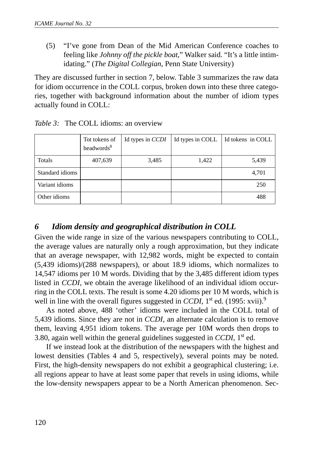(5) "I've gone from Dean of the Mid American Conference coaches to feeling like *Johnny off the pickle boat*," Walker said. "It's a little intimidating." (*The Digital Collegian*, Penn State University)

They are discussed further in section 7, below. Table 3 summarizes the raw data for idiom occurrence in the COLL corpus, broken down into these three categories, together with background information about the number of idiom types actually found in COLL:

|                 | Tot tokens of<br>headwords <sup>8</sup> | Id types in CCDI | Id types in COLL | Id tokens in COLL |
|-----------------|-----------------------------------------|------------------|------------------|-------------------|
| Totals          | 407,639                                 | 3,485            | 1,422            | 5,439             |
| Standard idioms |                                         |                  |                  | 4,701             |
| Variant idioms  |                                         |                  |                  | 250               |
| Other idioms    |                                         |                  |                  | 488               |

*Table 3:* The COLL idioms: an overview

### *6 Idiom density and geographical distribution in COLL*

Given the wide range in size of the various newspapers contributing to COLL, the average values are naturally only a rough approximation, but they indicate that an average newspaper, with 12,982 words, might be expected to contain (5,439 idioms)/(288 newspapers), or about 18.9 idioms, which normalizes to 14,547 idioms per 10 M words. Dividing that by the 3,485 different idiom types listed in *CCDI*, we obtain the average likelihood of an individual idiom occurring in the COLL texts. The result is some 4.20 idioms per 10 M words, which is well in line with the overall figures suggested in *CCDI*, 1<sup>st</sup> ed. (1995: xvii).<sup>9</sup>

As noted above, 488 'other' idioms were included in the COLL total of 5,439 idioms. Since they are not in *CCDI*, an alternate calculation is to remove them, leaving 4,951 idiom tokens. The average per 10M words then drops to 3.80, again well within the general guidelines suggested in *CCDI*, 1st ed.

If we instead look at the distribution of the newspapers with the highest and lowest densities (Tables 4 and 5, respectively), several points may be noted. First, the high-density newspapers do not exhibit a geographical clustering; i.e. all regions appear to have at least some paper that revels in using idioms, while the low-density newspapers appear to be a North American phenomenon. Sec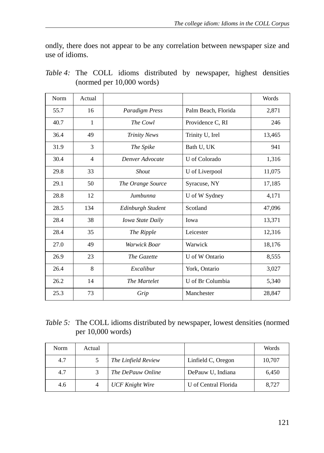ondly, there does not appear to be any correlation between newspaper size and use of idioms.

| Norm | Actual         |                         |                     | Words  |
|------|----------------|-------------------------|---------------------|--------|
| 55.7 | 16             | <b>Paradigm Press</b>   | Palm Beach, Florida | 2,871  |
| 40.7 | 1              | The Cowl                | Providence C, RI    | 246    |
| 36.4 | 49             | <b>Trinity News</b>     | Trinity U, Irel     | 13,465 |
| 31.9 | 3              | The Spike               | Bath U, UK          | 941    |
| 30.4 | $\overline{4}$ | Denver Advocate         | U of Colorado       | 1,316  |
| 29.8 | 33             | <b>Shout</b>            | U of Liverpool      | 11,075 |
| 29.1 | 50             | The Orange Source       | Syracuse, NY        | 17,185 |
| 28.8 | 12             | Jumbunna                | U of W Sydney       | 4,171  |
| 28.5 | 134            | Edinburgh Student       | Scotland            | 47,096 |
| 28.4 | 38             | <b>Iowa State Daily</b> | Iowa                | 13,371 |
| 28.4 | 35             | The Ripple              | Leicester           | 12,316 |
| 27.0 | 49             | Warwick Boar            | Warwick             | 18,176 |
| 26.9 | 23             | The Gazette             | U of W Ontario      | 8.555  |
| 26.4 | 8              | Excalibur               | York, Ontario       | 3,027  |
| 26.2 | 14             | The Martelet            | U of Br Columbia    | 5,340  |
| 25.3 | 73             | Grip                    | Manchester          | 28,847 |

*Table 4:* The COLL idioms distributed by newspaper, highest densities (normed per 10,000 words)

| Table 5: The COLL idioms distributed by newspaper, lowest densities (normed |
|-----------------------------------------------------------------------------|
| per $10,000$ words)                                                         |

| Norm | Actual |                        |                      | Words  |
|------|--------|------------------------|----------------------|--------|
| 4.7  |        | The Linfield Review    | Linfield C, Oregon   | 10,707 |
| 4.7  |        | The DePauw Online      | DePauw U, Indiana    | 6.450  |
| 4.6  |        | <b>UCF Knight Wire</b> | U of Central Florida | 8.727  |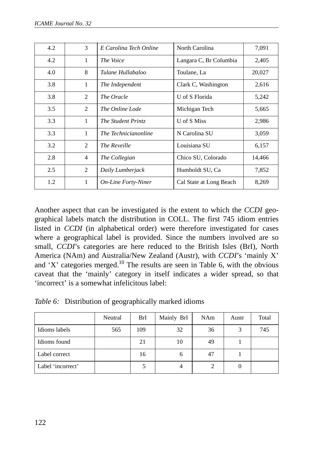| 4.2 | 3              | E Carolina Tech Online     | North Carolina          | 7,091  |
|-----|----------------|----------------------------|-------------------------|--------|
| 4.2 | 1              | The Voice                  | Langara C, Br Columbia  | 2,405  |
| 4.0 | 8              | Tulane Hullabaloo          | Toulane, La             | 20,027 |
| 3.8 | $\mathbf{1}$   | The Independent            | Clark C, Washington     | 2,616  |
| 3.8 | 2              | The Oracle                 | U of S Florida          | 5,242  |
| 3.5 | 2              | The Online Lode            | Michigan Tech           | 5,665  |
| 3.3 | 1              | The Student Printz         | U of S Miss             | 2,986  |
| 3.3 | 1              | The Technicianonline       | N Carolina SU           | 3,059  |
| 3.2 | 2              | The Reveille               | Louisiana SU            | 6,157  |
| 2.8 | $\overline{4}$ | The Collegian              | Chico SU, Colorado      | 14,466 |
| 2.5 | 2              | Daily Lumberjack           | Humboldt SU, Ca         | 7,852  |
| 1.2 | 1              | <b>On-Line Forty-Niner</b> | Cal State at Long Beach | 8,269  |

Another aspect that can be investigated is the extent to which the *CCDI* geographical labels match the distribution in COLL. The first 745 idiom entries listed in *CCDI* (in alphabetical order) were therefore investigated for cases where a geographical label is provided. Since the numbers involved are so small, *CCDI*'s categories are here reduced to the British Isles (BrI), North America (NAm) and Australia/New Zealand (Austr), with *CCDI*'s 'mainly X' and 'X' categories merged.<sup>10</sup> The results are seen in Table 6, with the obvious caveat that the 'mainly' category in itself indicates a wider spread, so that 'incorrect' is a somewhat infelicitous label:

|  | Table 6: Distribution of geographically marked idioms |  |  |  |  |  |
|--|-------------------------------------------------------|--|--|--|--|--|
|--|-------------------------------------------------------|--|--|--|--|--|

|                   | Neutral | BrI | Mainly BrI | <b>NAm</b> | Austr | Total |
|-------------------|---------|-----|------------|------------|-------|-------|
| Idioms labels     | 565     | 109 | 32         | 36         |       | 745   |
| Idioms found      |         | 21  | 10         | 49         |       |       |
| Label correct     |         | 16  |            | 47         |       |       |
| Label 'incorrect' |         |     |            |            |       |       |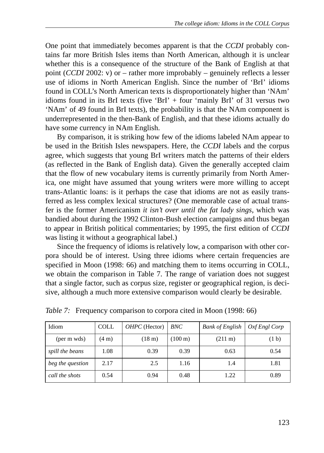One point that immediately becomes apparent is that the *CCDI* probably contains far more British Isles items than North American, although it is unclear whether this is a consequence of the structure of the Bank of English at that point (*CCDI* 2002: v) or – rather more improbably – genuinely reflects a lesser use of idioms in North American English. Since the number of 'BrI' idioms found in COLL's North American texts is disproportionately higher than 'NAm' idioms found in its BrI texts (five 'BrI' + four 'mainly BrI' of 31 versus two 'NAm' of 49 found in BrI texts), the probability is that the NAm component is underrepresented in the then-Bank of English, and that these idioms actually do have some currency in NAm English.

By comparison, it is striking how few of the idioms labeled NAm appear to be used in the British Isles newspapers. Here, the *CCDI* labels and the corpus agree, which suggests that young BrI writers match the patterns of their elders (as reflected in the Bank of English data). Given the generally accepted claim that the flow of new vocabulary items is currently primarily from North America, one might have assumed that young writers were more willing to accept trans-Atlantic loans: is it perhaps the case that idioms are not as easily transferred as less complex lexical structures? (One memorable case of actual transfer is the former Americanism *it isn't over until the fat lady sings*, which was bandied about during the 1992 Clinton-Bush election campaigns and thus began to appear in British political commentaries; by 1995, the first edition of *CCDI* was listing it without a geographical label.)

Since the frequency of idioms is relatively low, a comparison with other corpora should be of interest. Using three idioms where certain frequencies are specified in Moon (1998: 66) and matching them to items occurring in COLL, we obtain the comparison in Table 7. The range of variation does not suggest that a single factor, such as corpus size, register or geographical region, is decisive, although a much more extensive comparison would clearly be desirable.

| Idiom            | <b>COLL</b>     | $OHPC$ (Hector)  | BNC                  | <b>Bank of English</b> | Oxf Engl Corp     |
|------------------|-----------------|------------------|----------------------|------------------------|-------------------|
| (per m wds)      | $(4 \text{ m})$ | $(18 \text{ m})$ | $(100 \,\mathrm{m})$ | $(211 \text{ m})$      | (1 <sub>b</sub> ) |
| spill the beans  | 1.08            | 0.39             | 0.39                 | 0.63                   | 0.54              |
| beg the question | 2.17            | 2.5              | 1.16                 | 1.4                    | 1.81              |
| call the shots   | 0.54            | 0.94             | 0.48                 | 1.22                   | 0.89              |

*Table 7:* Frequency comparison to corpora cited in Moon (1998: 66)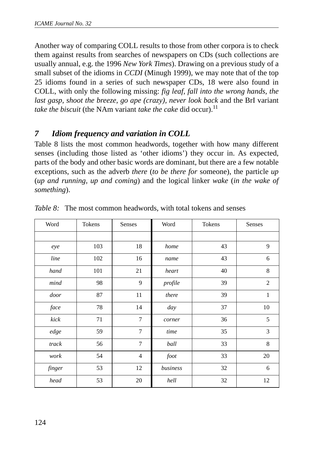Another way of comparing COLL results to those from other corpora is to check them against results from searches of newspapers on CDs (such collections are usually annual, e.g. the 1996 *New York Times*). Drawing on a previous study of a small subset of the idioms in *CCDI* (Minugh 1999), we may note that of the top 25 idioms found in a series of such newspaper CDs, 18 were also found in COLL, with only the following missing: *fig leaf, fall into the wrong hands, the last gasp, shoot the breeze, go ape (crazy), never look back* and the BrI variant *take the biscuit* (the NAm variant *take the cake* did occur).<sup>11</sup>

### *7 Idiom frequency and variation in COLL*

Table 8 lists the most common headwords, together with how many different senses (including those listed as 'other idioms') they occur in. As expected, parts of the body and other basic words are dominant, but there are a few notable exceptions, such as the adverb *there* (*to be there for* someone), the particle *up* (*up and running, up and coming*) and the logical linker *wake* (*in the wake of something*).

| Word   | Tokens | Senses          | Word     | Tokens |                |
|--------|--------|-----------------|----------|--------|----------------|
|        |        |                 |          |        |                |
| eye    | 103    | 18              | home     | 43     | 9              |
| line   | 102    | 16              | name     | 43     | 6              |
| hand   | 101    | 21              | heart    | 40     | 8              |
| mind   | 98     | 9               | profile  | 39     | $\overline{c}$ |
| door   | 87     | 11              | there    | 39     | $\mathbf{1}$   |
| face   | 78     | 14              | day      | 37     | 10             |
| kick   | 71     | $7\phantom{.0}$ | corner   | 36     | 5              |
| edge   | 59     | $\overline{7}$  | time     | 35     | 3              |
| track  | 56     | $7\phantom{.0}$ | ball     | 33     | 8              |
| work   | 54     | $\overline{4}$  | foot     | 33     | 20             |
| finger | 53     | 12              | business | 32     | 6              |
| head   | 53     | 20              | hell     | 32     | 12             |

*Table 8:* The most common headwords, with total tokens and senses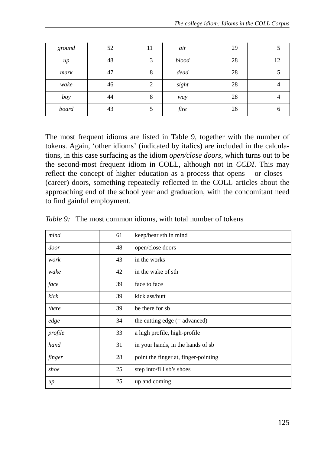| ground | 52 | 11 | air   | 29 |    |
|--------|----|----|-------|----|----|
| up     | 48 | 3  | blood | 28 | 12 |
| mark   | 47 | 8  | dead  | 28 |    |
| wake   | 46 | 2  | sight | 28 |    |
| boy    | 44 | 8  | way   | 28 |    |
| board  | 43 | 5  | fire  | 26 |    |

The most frequent idioms are listed in Table 9, together with the number of tokens. Again, 'other idioms' (indicated by italics) are included in the calculations, in this case surfacing as the idiom *open/close doors*, which turns out to be the second-most frequent idiom in COLL, although not in *CCDI*. This may reflect the concept of higher education as a process that opens – or closes – (career) doors, something repeatedly reflected in the COLL articles about the approaching end of the school year and graduation, with the concomitant need to find gainful employment.

| mind    | 61 | keep/bear sth in mind                |
|---------|----|--------------------------------------|
| door    | 48 | open/close doors                     |
| work    | 43 | in the works                         |
| wake    | 42 | in the wake of sth                   |
| face    | 39 | face to face                         |
| kick    | 39 | kick ass/butt                        |
| there   | 39 | be there for sb                      |
| edge    | 34 | the cutting edge $(=$ advanced)      |
| profile | 33 | a high profile, high-profile         |
| hand    | 31 | in your hands, in the hands of sb    |
| finger  | 28 | point the finger at, finger-pointing |
| shoe    | 25 | step into/fill sb's shoes            |
| $\mu$   | 25 | up and coming                        |

*Table 9:* The most common idioms, with total number of tokens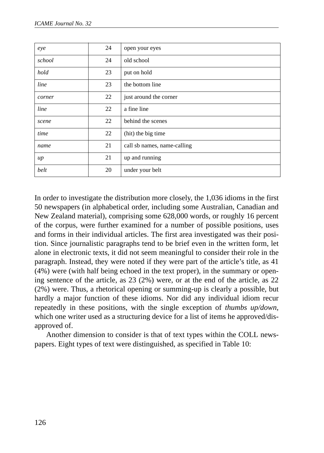| eye    | 24 | open your eyes              |
|--------|----|-----------------------------|
| school | 24 | old school                  |
| hold   | 23 | put on hold                 |
| line   | 23 | the bottom line             |
| corner | 22 | just around the corner      |
| line   | 22 | a fine line                 |
| scene  | 22 | behind the scenes           |
| time   | 22 | (hit) the big time          |
| name   | 21 | call sb names, name-calling |
| $\mu$  | 21 | up and running              |
| belt   | 20 | under your belt             |

In order to investigate the distribution more closely, the 1,036 idioms in the first 50 newspapers (in alphabetical order, including some Australian, Canadian and New Zealand material), comprising some 628,000 words, or roughly 16 percent of the corpus, were further examined for a number of possible positions, uses and forms in their individual articles. The first area investigated was their position. Since journalistic paragraphs tend to be brief even in the written form, let alone in electronic texts, it did not seem meaningful to consider their role in the paragraph. Instead, they were noted if they were part of the article's title, as 41 (4%) were (with half being echoed in the text proper), in the summary or opening sentence of the article, as 23 (2%) were, or at the end of the article, as 22 (2%) were. Thus, a rhetorical opening or summing-up is clearly a possible, but hardly a major function of these idioms. Nor did any individual idiom recur repeatedly in these positions, with the single exception of *thumbs up/down*, which one writer used as a structuring device for a list of items he approved/disapproved of.

Another dimension to consider is that of text types within the COLL newspapers. Eight types of text were distinguished, as specified in Table 10: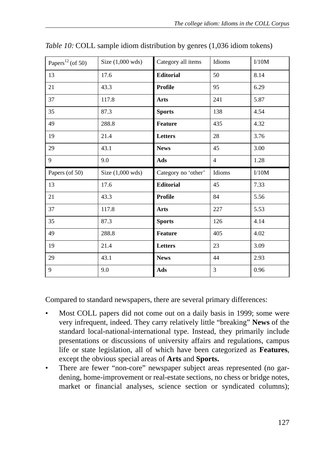| Papers <sup>12</sup> (of 50) | Size (1,000 wds)           | Category all items  | Idioms         | I/10M |
|------------------------------|----------------------------|---------------------|----------------|-------|
| 13                           | 17.6                       | <b>Editorial</b>    | 50             | 8.14  |
| 21                           | 43.3                       | <b>Profile</b>      | 95             | 6.29  |
| 37                           | 117.8                      | <b>Arts</b>         | 241            | 5.87  |
| 35                           | 87.3                       | <b>Sports</b>       | 138            | 4.54  |
| 49                           | 288.8                      | Feature             | 435            | 4.32  |
| 19                           | 21.4                       | Letters             | 28             | 3.76  |
| 29                           | 43.1                       | <b>News</b>         | 45             | 3.00  |
| 9                            | 9.0                        | Ads                 | $\overline{4}$ | 1.28  |
|                              |                            |                     |                |       |
| Papers (of 50)               | Size $(1,000 \text{ wds})$ | Category no 'other' | Idioms         | I/10M |
| 13                           | 17.6                       | <b>Editorial</b>    | 45             | 7.33  |
| 21                           | 43.3                       | Profile             | 84             | 5.56  |
| 37                           | 117.8                      | Arts                | 227            | 5.53  |
| 35                           | 87.3                       | <b>Sports</b>       | 126            | 4.14  |
| 49                           | 288.8                      | <b>Feature</b>      | 405            | 4.02  |
| 19                           | 21.4                       | Letters             | 23             | 3.09  |
| 29                           | 43.1                       | <b>News</b>         | 44             | 2.93  |

*Table 10:* COLL sample idiom distribution by genres (1,036 idiom tokens)

Compared to standard newspapers, there are several primary differences:

- Most COLL papers did not come out on a daily basis in 1999; some were very infrequent, indeed. They carry relatively little "breaking" **News** of the standard local-national-international type. Instead, they primarily include presentations or discussions of university affairs and regulations, campus life or state legislation, all of which have been categorized as **Features**, except the obvious special areas of **Arts** and **Sports.**
- There are fewer "non-core" newspaper subject areas represented (no gardening, home-improvement or real-estate sections, no chess or bridge notes, market or financial analyses, science section or syndicated columns);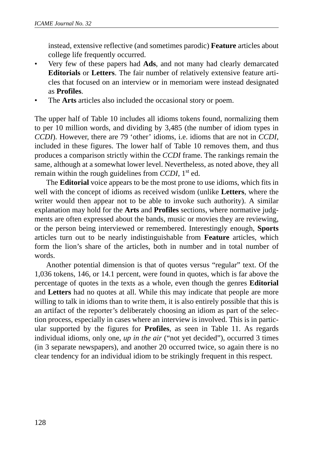instead, extensive reflective (and sometimes parodic) **Feature** articles about college life frequently occurred.

- Very few of these papers had **Ads**, and not many had clearly demarcated **Editorials** or **Letters**. The fair number of relatively extensive feature articles that focused on an interview or in memoriam were instead designated as **Profiles**.
- The **Arts** articles also included the occasional story or poem.

The upper half of Table 10 includes all idioms tokens found, normalizing them to per 10 million words, and dividing by 3,485 (the number of idiom types in *CCDI*). However, there are 79 'other' idioms, i.e. idioms that are not in *CCDI*, included in these figures. The lower half of Table 10 removes them, and thus produces a comparison strictly within the *CCDI* frame. The rankings remain the same, although at a somewhat lower level. Nevertheless, as noted above, they all remain within the rough guidelines from *CCDI*, 1<sup>st</sup> ed.

The **Editorial** voice appears to be the most prone to use idioms, which fits in well with the concept of idioms as received wisdom (unlike **Letters**, where the writer would then appear not to be able to invoke such authority). A similar explanation may hold for the **Arts** and **Profiles** sections, where normative judgments are often expressed about the bands, music or movies they are reviewing, or the person being interviewed or remembered. Interestingly enough, **Sports** articles turn out to be nearly indistinguishable from **Feature** articles, which form the lion's share of the articles, both in number and in total number of words.

Another potential dimension is that of quotes versus "regular" text. Of the 1,036 tokens, 146, or 14.1 percent, were found in quotes, which is far above the percentage of quotes in the texts as a whole, even though the genres **Editorial** and **Letters** had no quotes at all. While this may indicate that people are more willing to talk in idioms than to write them, it is also entirely possible that this is an artifact of the reporter's deliberately choosing an idiom as part of the selection process, especially in cases where an interview is involved. This is in particular supported by the figures for **Profiles**, as seen in Table 11. As regards individual idioms, only one, *up in the air* ("not yet decided"), occurred 3 times (in 3 separate newspapers), and another 20 occurred twice, so again there is no clear tendency for an individual idiom to be strikingly frequent in this respect.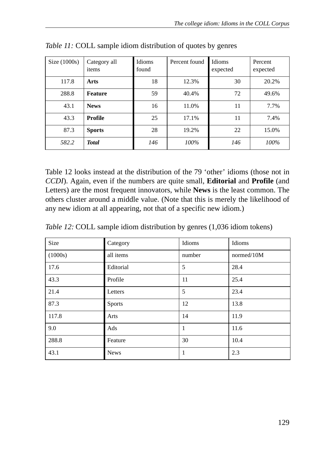| Size $(1000s)$ | Category all<br>items | Idioms<br>found | Percent found | Idioms<br>expected | Percent<br>expected |
|----------------|-----------------------|-----------------|---------------|--------------------|---------------------|
| 117.8          | Arts                  | 18              | 12.3%         | 30                 | 20.2%               |
| 288.8          | <b>Feature</b>        | 59              | 40.4%         | 72                 | 49.6%               |
| 43.1           | <b>News</b>           | 16              | 11.0%         | 11                 | 7.7%                |
| 43.3           | Profile               | 25              | 17.1%         | 11                 | 7.4%                |
| 87.3           | <b>Sports</b>         | 28              | 19.2%         | 22                 | 15.0%               |
| 582.2          | <b>Total</b>          | 146             | 100%          | 146                | 100%                |

*Table 11:* COLL sample idiom distribution of quotes by genres

Table 12 looks instead at the distribution of the 79 'other' idioms (those not in *CCDI*). Again, even if the numbers are quite small, **Editorial** and **Profile** (and Letters) are the most frequent innovators, while **News** is the least common. The others cluster around a middle value. (Note that this is merely the likelihood of any new idiom at all appearing, not that of a specific new idiom.)

*Table 12:* COLL sample idiom distribution by genres (1,036 idiom tokens)

| Size    | Category      | Idioms       | Idioms     |
|---------|---------------|--------------|------------|
| (1000s) | all items     | number       | normed/10M |
| 17.6    | Editorial     | 5            | 28.4       |
| 43.3    | Profile       | 11           | 25.4       |
| 21.4    | Letters       | 5            | 23.4       |
| 87.3    | <b>Sports</b> | 12           | 13.8       |
| 117.8   | Arts          | 14           | 11.9       |
| 9.0     | Ads           | $\mathbf{1}$ | 11.6       |
| 288.8   | Feature       | 30           | 10.4       |
| 43.1    | <b>News</b>   | 1            | 2.3        |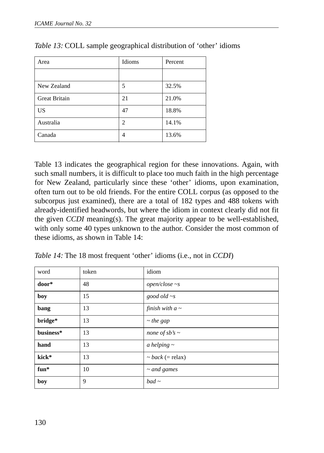| Area                 | Idioms | Percent |
|----------------------|--------|---------|
|                      |        |         |
| New Zealand          | 5      | 32.5%   |
| <b>Great Britain</b> | 21     | 21.0%   |
| <b>US</b>            | 47     | 18.8%   |
| Australia            | 2      | 14.1%   |
| Canada               | 4      | 13.6%   |

*Table 13:* COLL sample geographical distribution of 'other' idioms

Table 13 indicates the geographical region for these innovations. Again, with such small numbers, it is difficult to place too much faith in the high percentage for New Zealand, particularly since these 'other' idioms, upon examination, often turn out to be old friends. For the entire COLL corpus (as opposed to the subcorpus just examined), there are a total of 182 types and 488 tokens with already-identified headwords, but where the idiom in context clearly did not fit the given *CCDI* meaning(s). The great majority appear to be well-established, with only some 40 types unknown to the author. Consider the most common of these idioms, as shown in Table 14:

*Table 14:* The 18 most frequent 'other' idioms (i.e., not in *CCDI*)

| word      | token | idiom                   |
|-----------|-------|-------------------------|
| door*     | 48    | $open/close \sim s$     |
| boy       | 15    | good old $\sim s$       |
| bang      | 13    | finish with $a \sim$    |
| bridge*   | 13    | $\sim$ the gap          |
| business* | 13    | none of sb's $\sim$     |
| hand      | 13    | $\alpha$ helping $\sim$ |
| kick*     | 13    | $\sim$ back (= relax)   |
| fun*      | 10    | $\sim$ and games        |
| boy       | 9     | $bad \sim$              |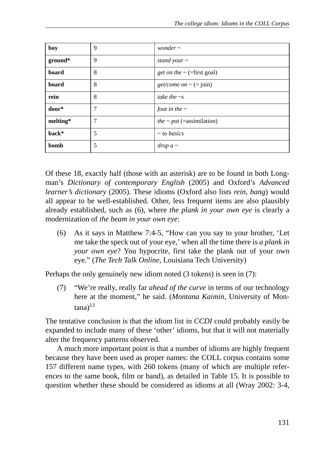| boy      | 9 | wonder $\sim$                                    |
|----------|---|--------------------------------------------------|
| ground*  | 9 | stand your $\sim$                                |
| board    | 8 | <i>get on the</i> $\sim$ (=first goal)           |
| board    | 8 | <i>get/come on</i> $\sim$ (= join)               |
| rein     | 8 | take the $\sim$ s                                |
| door*    | 7 | foot in the $\sim$                               |
| melting* | 7 | <i>the <math>\sim</math> pot</i> (=assimilation) |
| back*    | 5 | $\sim$ to basics                                 |
| bomb     | 5 | $drop a \sim$                                    |

Of these 18, exactly half (those with an asterisk) are to be found in both Longman's *Dictionary of contemporary English* (2005) and Oxford's *Advanced learner's dictionary* (2005). These idioms (Oxford also lists *rein*, *bang*) would all appear to be well-established. Other, less frequent items are also plausibly already established, such as (6), where *the plank in your own eye* is clearly a modernization of *the beam in your own eye*:

(6) As it says in Matthew 7:4-5, "How can you say to your brother, 'Let me take the speck out of your eye,' when all the time there is *a plank in your own eye*? You hypocrite, first take the plank out of your own eye." (*The Tech Talk Online*, Louisiana Tech University)

Perhaps the only genuinely new idiom noted (3 tokens) is seen in (7):

(7) "We're really, really far *ahead of the curve* in terms of our technology here at the moment," he said. (*Montana Kaimin*, University of Mon $tana$ <sup>13</sup>

The tentative conclusion is that the idiom list in *CCDI* could probably easily be expanded to include many of these 'other' idioms, but that it will not materially alter the frequency patterns observed.

A much more important point is that a number of idioms are highly frequent because they have been used as proper names: the COLL corpus contains some 157 different name types, with 260 tokens (many of which are multiple references to the same book, film or band), as detailed in Table 15. It is possible to question whether these should be considered as idioms at all (Wray 2002: 3-4,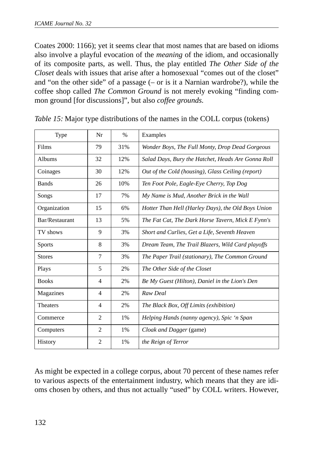Coates 2000: 1166); yet it seems clear that most names that are based on idioms also involve a playful evocation of the *meaning* of the idiom, and occasionally of its composite parts, as well. Thus, the play entitled *The Other Side of the Closet* deals with issues that arise after a homosexual "comes out of the closet" and "on the other side" of a passage (– or is it a Narnian wardrobe?), while the coffee shop called *The Common Ground* is not merely evoking "finding common ground [for discussions]", but also *coffee grounds.*

| Type           | Nr             | $\frac{0}{0}$ | Examples                                           |
|----------------|----------------|---------------|----------------------------------------------------|
| Films          | 79             | 31%           | Wonder Boys, The Full Monty, Drop Dead Gorgeous    |
| Albums         | 32             | 12%           | Salad Days, Bury the Hatchet, Heads Are Gonna Roll |
| Coinages       | 30             | 12%           | Out of the Cold (housing), Glass Ceiling (report)  |
| <b>Bands</b>   | 26             | 10%           | Ten Foot Pole, Eagle-Eye Cherry, Top Dog           |
| Songs          | 17             | 7%            | My Name is Mud, Another Brick in the Wall          |
| Organization   | 15             | 6%            | Hotter Than Hell (Harley Days), the Old Boys Union |
| Bar/Restaurant | 13             | 5%            | The Fat Cat, The Dark Horse Tavern, Mick E Fynn's  |
| TV shows       | 9              | 3%            | Short and Curlies, Get a Life, Seventh Heaven      |
| <b>Sports</b>  | 8              | 3%            | Dream Team, The Trail Blazers, Wild Card playoffs  |
| <b>Stores</b>  | 7              | 3%            | The Paper Trail (stationary), The Common Ground    |
| Plays          | 5              | 2%            | The Other Side of the Closet                       |
| <b>Books</b>   | $\overline{4}$ | 2%            | Be My Guest (Hilton), Daniel in the Lion's Den     |
| Magazines      | $\overline{4}$ | 2%            | Raw Deal                                           |
| Theaters       | 4              | 2%            | The Black Box, Off Limits (exhibition)             |
| Commerce       | $\overline{c}$ | 1%            | Helping Hands (nanny agency), Spic 'n Span         |
| Computers      | 2              | 1%            | Cloak and Dagger (game)                            |
| History        | $\overline{c}$ | $1\%$         | the Reign of Terror                                |

|  |  | Table 15: Major type distributions of the names in the COLL corpus (tokens) |  |  |
|--|--|-----------------------------------------------------------------------------|--|--|
|  |  |                                                                             |  |  |

As might be expected in a college corpus, about 70 percent of these names refer to various aspects of the entertainment industry, which means that they are idioms chosen by others, and thus not actually "used" by COLL writers. However,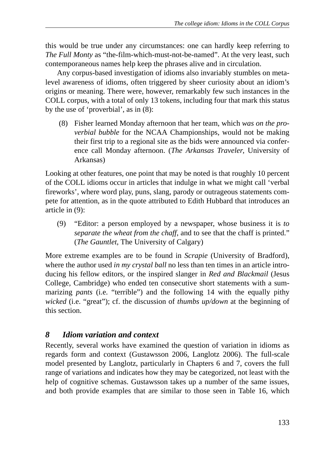this would be true under any circumstances: one can hardly keep referring to *The Full Monty* as "the-film-which-must-not-be-named". At the very least, such contemporaneous names help keep the phrases alive and in circulation.

Any corpus-based investigation of idioms also invariably stumbles on metalevel awareness of idioms, often triggered by sheer curiosity about an idiom's origins or meaning. There were, however, remarkably few such instances in the COLL corpus, with a total of only 13 tokens, including four that mark this status by the use of 'proverbial', as in (8):

 (8) Fisher learned Monday afternoon that her team, which *was on the proverbial bubble* for the NCAA Championships, would not be making their first trip to a regional site as the bids were announced via conference call Monday afternoon. (*The Arkansas Traveler*, University of Arkansas)

Looking at other features, one point that may be noted is that roughly 10 percent of the COLL idioms occur in articles that indulge in what we might call 'verbal fireworks', where word play, puns, slang, parody or outrageous statements compete for attention, as in the quote attributed to Edith Hubbard that introduces an article in (9):

(9) "Editor: a person employed by a newspaper, whose business it is *to separate the wheat from the chaff*, and to see that the chaff is printed." (*The Gauntlet*, The University of Calgary)

More extreme examples are to be found in *Scrapie* (University of Bradford), where the author used *in my crystal ball* no less than ten times in an article introducing his fellow editors, or the inspired slanger in *Red and Blackmail* (Jesus College, Cambridge) who ended ten consecutive short statements with a summarizing *pants* (i.e. "terrible") and the following 14 with the equally pithy *wicked* (i.e. "great"); cf. the discussion of *thumbs up/down* at the beginning of this section.

## *8 Idiom variation and context*

Recently, several works have examined the question of variation in idioms as regards form and context (Gustawsson 2006, Langlotz 2006). The full-scale model presented by Langlotz, particularly in Chapters 6 and 7, covers the full range of variations and indicates how they may be categorized, not least with the help of cognitive schemas. Gustawsson takes up a number of the same issues, and both provide examples that are similar to those seen in Table 16, which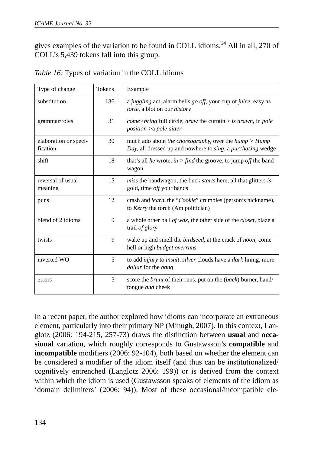gives examples of the variation to be found in COLL idioms.14 All in all, 270 of COLL's 5,439 tokens fall into this group.

| Type of change                    | Tokens | Example                                                                                                                |
|-----------------------------------|--------|------------------------------------------------------------------------------------------------------------------------|
| substitution                      | 136    | a juggling act, alarm bells go off, your cup of juice, easy as<br>torte, a blot on our <i>history</i>                  |
| grammar/roles                     | 31     | $come>bring$ full circle, <i>draw</i> the curtain $>$ <i>is drawn</i> , in <i>pole</i><br>$position > a pole-sitter$   |
| elaboration or speci-<br>fication | 30     | much ado about the choreography, over the hump $>$ Hump<br>Day, all dressed up and nowhere to sing, a purchasing wedge |
| shift                             | 18     | that's all <i>he</i> wrote, <i>in</i> > <i>find</i> the groove, to jump <i>off</i> the band-<br>wagon                  |
| reversal of usual<br>meaning      | 15     | miss the bandwagon, the buck starts here, all that glitters is<br>gold, time <i>off</i> your hands                     |
| puns                              | 12     | crash and learn, the "Cookie" crumbles (person's nickname),<br>to Kerry the torch (Am politician)                      |
| blend of 2 idioms                 | 9      | a whole other ball of wax, the other side of the <i>closet</i> , blaze a<br>trail of glory                             |
| twists                            | 9      | wake up and smell the <i>birdseed</i> , at the crack of <i>noon</i> , come<br>hell or high budget overruns             |
| inverted WO                       | 5      | to add <i>injury</i> to <i>insult</i> , <i>silver</i> clouds have a <i>dark</i> lining, more<br>dollar for the bang    |
| errors                            | 5      | score the <i>brunt</i> of their runs, put on the ( <i>back</i> ) burner, hand/<br>tongue and cheek                     |

|  |  | Table 16: Types of variation in the COLL idioms |  |  |
|--|--|-------------------------------------------------|--|--|
|  |  |                                                 |  |  |

In a recent paper, the author explored how idioms can incorporate an extraneous element, particularly into their primary NP (Minugh, 2007). In this context, Langlotz (2006: 194-215, 257-73) draws the distinction between **usual** and **occasional** variation, which roughly corresponds to Gustawsson's **compatible** and **incompatible** modifiers (2006: 92-104), both based on whether the element can be considered a modifier of the idiom itself (and thus can be institutionalized/ cognitively entrenched (Langlotz 2006: 199)) or is derived from the context within which the idiom is used (Gustawsson speaks of elements of the idiom as 'domain delimiters' (2006: 94)). Most of these occasional/incompatible ele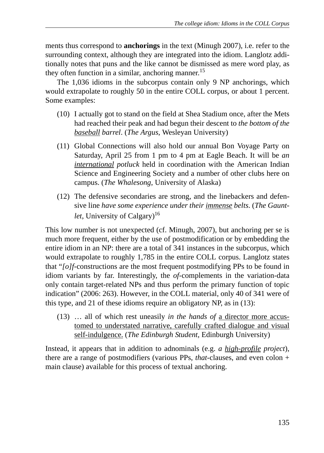ments thus correspond to **anchorings** in the text (Minugh 2007), i.e. refer to the surrounding context, although they are integrated into the idiom. Langlotz additionally notes that puns and the like cannot be dismissed as mere word play, as they often function in a similar, anchoring manner.<sup>15</sup>

The 1,036 idioms in the subcorpus contain only 9 NP anchorings, which would extrapolate to roughly 50 in the entire COLL corpus, or about 1 percent. Some examples:

- (10) I actually got to stand on the field at Shea Stadium once, after the Mets had reached their peak and had begun their descent to *the bottom of the baseball barrel*. (*The Argus*, Wesleyan University)
- (11) Global Connections will also hold our annual Bon Voyage Party on Saturday, April 25 from 1 pm to 4 pm at Eagle Beach. It will be *an international potluck* held in coordination with the American Indian Science and Engineering Society and a number of other clubs here on campus. (*The Whalesong*, University of Alaska)
- (12) The defensive secondaries are strong, and the linebackers and defensive line *have some experience under their immense belts*. (*The Gauntlet*, University of Calgary)<sup>16</sup>

This low number is not unexpected (cf. Minugh, 2007), but anchoring per se is much more frequent, either by the use of postmodification or by embedding the entire idiom in an NP: there are a total of 341 instances in the subcorpus, which would extrapolate to roughly 1,785 in the entire COLL corpus. Langlotz states that "*[o]f-*constructions are the most frequent postmodifying PPs to be found in idiom variants by far. Interestingly, the *of-*complements in the variation-data only contain target-related NPs and thus perform the primary function of topic indication" (2006: 263). However, in the COLL material, only 40 of 341 were of this type, and 21 of these idioms require an obligatory NP, as in (13):

(13) … all of which rest uneasily *in the hands of* a director more accustomed to understated narrative, carefully crafted dialogue and visual self-indulgence. (*The Edinburgh Student*, Edinburgh University)

Instead, it appears that in addition to adnominals (e.g. *a high-profile project*), there are a range of postmodifiers (various PPs, *that-*clauses, and even colon + main clause) available for this process of textual anchoring.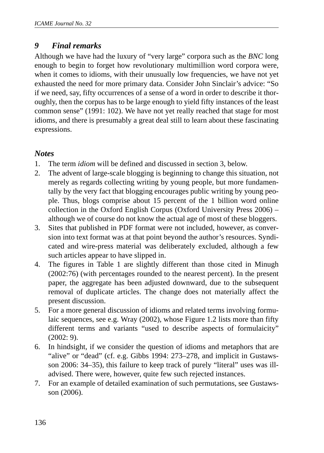#### *9 Final remarks*

Although we have had the luxury of "very large" corpora such as the *BNC* long enough to begin to forget how revolutionary multimillion word corpora were, when it comes to idioms, with their unusually low frequencies, we have not yet exhausted the need for more primary data. Consider John Sinclair's advice: "So if we need, say, fifty occurrences of a sense of a word in order to describe it thoroughly, then the corpus has to be large enough to yield fifty instances of the least common sense" (1991: 102). We have not yet really reached that stage for most idioms, and there is presumably a great deal still to learn about these fascinating expressions.

#### *Notes*

- 1. The term *idiom* will be defined and discussed in section 3, below.
- 2. The advent of large-scale blogging is beginning to change this situation, not merely as regards collecting writing by young people, but more fundamentally by the very fact that blogging encourages public writing by young people. Thus, blogs comprise about 15 percent of the 1 billion word online collection in the Oxford English Corpus (Oxford University Press 2006) – although we of course do not know the actual age of most of these bloggers.
- 3. Sites that published in PDF format were not included, however, as conversion into text format was at that point beyond the author's resources. Syndicated and wire-press material was deliberately excluded, although a few such articles appear to have slipped in.
- 4. The figures in Table 1 are slightly different than those cited in Minugh (2002:76) (with percentages rounded to the nearest percent). In the present paper, the aggregate has been adjusted downward, due to the subsequent removal of duplicate articles. The change does not materially affect the present discussion.
- 5. For a more general discussion of idioms and related terms involving formulaic sequences, see e.g. Wray (2002), whose Figure 1.2 lists more than fifty different terms and variants "used to describe aspects of formulaicity" (2002: 9).
- 6. In hindsight, if we consider the question of idioms and metaphors that are "alive" or "dead" (cf. e.g. Gibbs 1994: 273–278, and implicit in Gustawsson 2006: 34–35), this failure to keep track of purely "literal" uses was illadvised. There were, however, quite few such rejected instances.
- 7. For an example of detailed examination of such permutations, see Gustawsson (2006).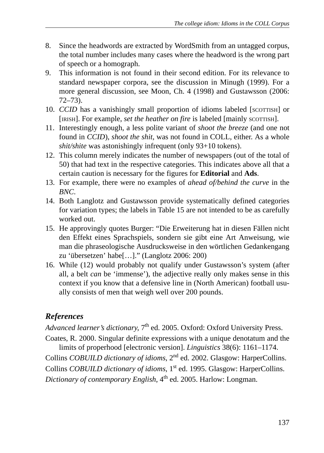- 8. Since the headwords are extracted by WordSmith from an untagged corpus, the total number includes many cases where the headword is the wrong part of speech or a homograph.
- 9. This information is not found in their second edition. For its relevance to standard newspaper corpora, see the discussion in Minugh (1999). For a more general discussion, see Moon, Ch. 4 (1998) and Gustawsson (2006: 72–73).
- 10. *CCID* has a vanishingly small proportion of idioms labeled [SCOTTISH] or [IRISH]. For example, *set the heather on fire* is labeled [mainly scorrish].
- 11. Interestingly enough, a less polite variant of *shoot the breeze* (and one not found in *CCID*), *shoot the shit*, was not found in COLL, either. As a whole *shit/shite* was astonishingly infrequent (only 93+10 tokens).
- 12. This column merely indicates the number of newspapers (out of the total of 50) that had text in the respective categories. This indicates above all that a certain caution is necessary for the figures for **Editorial** and **Ads**.
- 13. For example, there were no examples of *ahead of/behind the curve* in the *BNC*.
- 14. Both Langlotz and Gustawsson provide systematically defined categories for variation types; the labels in Table 15 are not intended to be as carefully worked out.
- 15. He approvingly quotes Burger: "Die Erweiterung hat in diesen Fällen nicht den Effekt eines Sprachspiels, sondern sie gibt eine Art Anweisung, wie man die phraseologische Ausdrucksweise in den wörtlichen Gedankengang zu 'übersetzen' habe[…]." (Langlotz 2006: 200)
- 16. While (12) would probably not qualify under Gustawsson's system (after all, a belt *can* be 'immense'), the adjective really only makes sense in this context if you know that a defensive line in (North American) football usually consists of men that weigh well over 200 pounds.

## *References*

Advanced learner's dictionary, 7<sup>th</sup> ed. 2005. Oxford: Oxford University Press. Coates, R. 2000. Singular definite expressions with a unique denotatum and the

limits of properhood [electronic version]. *Linguistics* 38(6): 1161–1174. Collins *COBUILD dictionary of idioms*, 2nd ed. 2002. Glasgow: HarperCollins. Collins *COBUILD dictionary of idioms*, 1<sup>st</sup> ed. 1995. Glasgow: HarperCollins. *Dictionary of contemporary English*, 4<sup>th</sup> ed. 2005. Harlow: Longman.